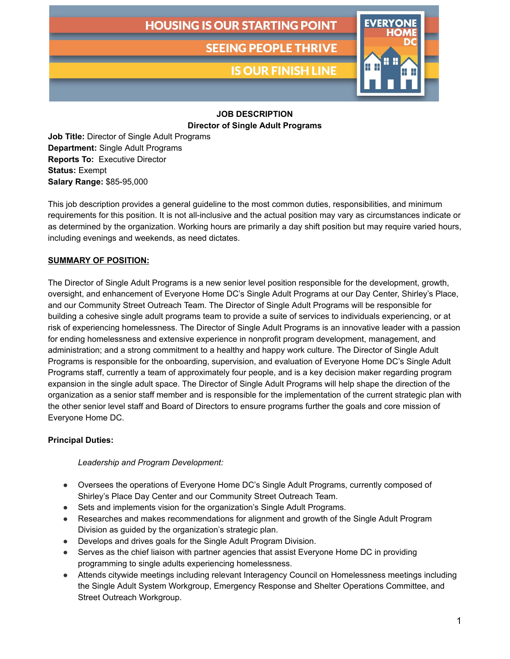**SEEING PEOPLE THRIVE** 

**IS OUR FINISH LINE** 



# **JOB DESCRIPTION**

**Director of Single Adult Programs**

**Job Title:** Director of Single Adult Programs **Department:** Single Adult Programs **Reports To:** Executive Director **Status:** Exempt **Salary Range:** \$85-95,000

This job description provides a general guideline to the most common duties, responsibilities, and minimum requirements for this position. It is not all-inclusive and the actual position may vary as circumstances indicate or as determined by the organization. Working hours are primarily a day shift position but may require varied hours, including evenings and weekends, as need dictates.

# **SUMMARY OF POSITION:**

The Director of Single Adult Programs is a new senior level position responsible for the development, growth, oversight, and enhancement of Everyone Home DC's Single Adult Programs at our Day Center, Shirley's Place, and our Community Street Outreach Team. The Director of Single Adult Programs will be responsible for building a cohesive single adult programs team to provide a suite of services to individuals experiencing, or at risk of experiencing homelessness. The Director of Single Adult Programs is an innovative leader with a passion for ending homelessness and extensive experience in nonprofit program development, management, and administration; and a strong commitment to a healthy and happy work culture. The Director of Single Adult Programs is responsible for the onboarding, supervision, and evaluation of Everyone Home DC's Single Adult Programs staff, currently a team of approximately four people, and is a key decision maker regarding program expansion in the single adult space. The Director of Single Adult Programs will help shape the direction of the organization as a senior staff member and is responsible for the implementation of the current strategic plan with the other senior level staff and Board of Directors to ensure programs further the goals and core mission of Everyone Home DC.

# **Principal Duties:**

# *Leadership and Program Development:*

- Oversees the operations of Everyone Home DC's Single Adult Programs, currently composed of Shirley's Place Day Center and our Community Street Outreach Team.
- Sets and implements vision for the organization's Single Adult Programs.
- Researches and makes recommendations for alignment and growth of the Single Adult Program Division as guided by the organization's strategic plan.
- Develops and drives goals for the Single Adult Program Division.
- Serves as the chief liaison with partner agencies that assist Everyone Home DC in providing programming to single adults experiencing homelessness.
- Attends citywide meetings including relevant Interagency Council on Homelessness meetings including the Single Adult System Workgroup, Emergency Response and Shelter Operations Committee, and Street Outreach Workgroup.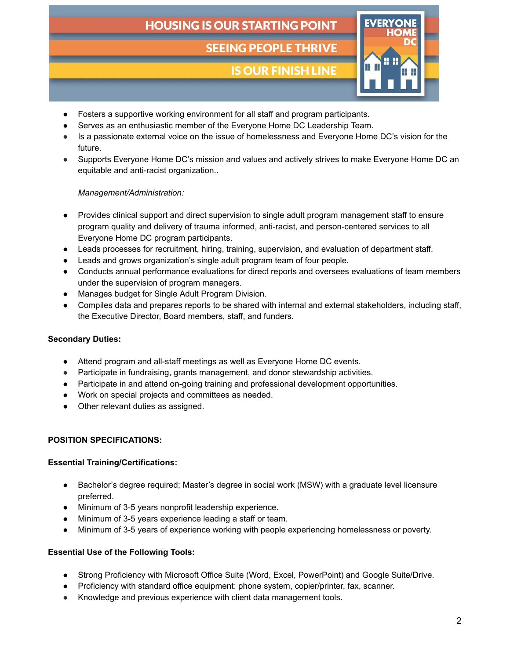# **SEEING PEOPLE THRIVE**

# **IS OUR FINISH LINE**



- Fosters a supportive working environment for all staff and program participants.
- Serves as an enthusiastic member of the Everyone Home DC Leadership Team.
- Is a passionate external voice on the issue of homelessness and Everyone Home DC's vision for the future.
- Supports Everyone Home DC's mission and values and actively strives to make Everyone Home DC an equitable and anti-racist organization..

### *Management/Administration:*

- Provides clinical support and direct supervision to single adult program management staff to ensure program quality and delivery of trauma informed, anti-racist, and person-centered services to all Everyone Home DC program participants.
- Leads processes for recruitment, hiring, training, supervision, and evaluation of department staff.
- Leads and grows organization's single adult program team of four people.
- Conducts annual performance evaluations for direct reports and oversees evaluations of team members under the supervision of program managers.
- Manages budget for Single Adult Program Division.
- Compiles data and prepares reports to be shared with internal and external stakeholders, including staff, the Executive Director, Board members, staff, and funders.

# **Secondary Duties:**

- Attend program and all-staff meetings as well as Everyone Home DC events.
- Participate in fundraising, grants management, and donor stewardship activities.
- Participate in and attend on-going training and professional development opportunities.
- Work on special projects and committees as needed.
- Other relevant duties as assigned.

#### **POSITION SPECIFICATIONS:**

#### **Essential Training/Certifications:**

- Bachelor's degree required; Master's degree in social work (MSW) with a graduate level licensure preferred.
- Minimum of 3-5 years nonprofit leadership experience.
- Minimum of 3-5 years experience leading a staff or team.
- Minimum of 3-5 years of experience working with people experiencing homelessness or poverty.

# **Essential Use of the Following Tools:**

- Strong Proficiency with Microsoft Office Suite (Word, Excel, PowerPoint) and Google Suite/Drive.
- Proficiency with standard office equipment: phone system, copier/printer, fax, scanner.
- Knowledge and previous experience with client data management tools.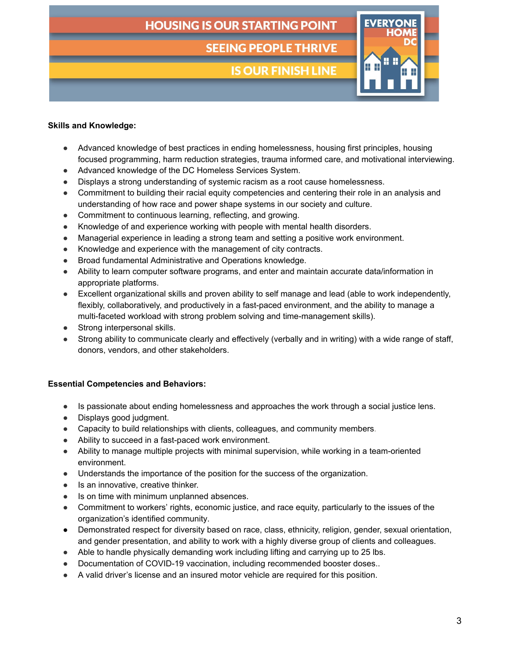**SEEING PEOPLE THRIVE** 

**IS OUR FINISH LINE** 



### **Skills and Knowledge:**

- Advanced knowledge of best practices in ending homelessness, housing first principles, housing focused programming, harm reduction strategies, trauma informed care, and motivational interviewing.
- Advanced knowledge of the DC Homeless Services System.
- Displays a strong understanding of systemic racism as a root cause homelessness.
- Commitment to building their racial equity competencies and centering their role in an analysis and understanding of how race and power shape systems in our society and culture.
- Commitment to continuous learning, reflecting, and growing.
- Knowledge of and experience working with people with mental health disorders.
- Managerial experience in leading a strong team and setting a positive work environment.
- Knowledge and experience with the management of city contracts.
- Broad fundamental Administrative and Operations knowledge.
- Ability to learn computer software programs, and enter and maintain accurate data/information in appropriate platforms.
- Excellent organizational skills and proven ability to self manage and lead (able to work independently, flexibly, collaboratively, and productively in a fast-paced environment, and the ability to manage a multi-faceted workload with strong problem solving and time-management skills).
- Strong interpersonal skills.
- Strong ability to communicate clearly and effectively (verbally and in writing) with a wide range of staff, donors, vendors, and other stakeholders.

#### **Essential Competencies and Behaviors:**

- Is passionate about ending homelessness and approaches the work through a social justice lens.
- Displays good judgment.
- Capacity to build relationships with clients, colleagues, and community members.
- Ability to succeed in a fast-paced work environment.
- Ability to manage multiple projects with minimal supervision, while working in a team-oriented environment.
- Understands the importance of the position for the success of the organization.
- Is an innovative, creative thinker.
- Is on time with minimum unplanned absences.
- Commitment to workers' rights, economic justice, and race equity, particularly to the issues of the organization's identified community.
- Demonstrated respect for diversity based on race, class, ethnicity, religion, gender, sexual orientation, and gender presentation, and ability to work with a highly diverse group of clients and colleagues.
- Able to handle physically demanding work including lifting and carrying up to 25 lbs.
- Documentation of COVID-19 vaccination, including recommended booster doses..
- A valid driver's license and an insured motor vehicle are required for this position.